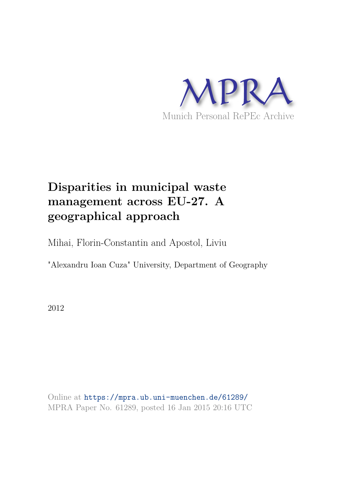

# **Disparities in municipal waste management across EU-27. A geographical approach**

Mihai, Florin-Constantin and Apostol, Liviu

"Alexandru Ioan Cuza" University, Department of Geography

2012

Online at https://mpra.ub.uni-muenchen.de/61289/ MPRA Paper No. 61289, posted 16 Jan 2015 20:16 UTC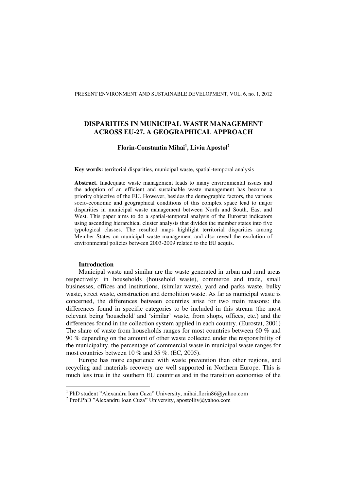# **DISPARITIES IN MUNICIPAL WASTE MANAGEMENT ACROSS EU-27. A GEOGRAPHICAL APPROACH**

# **Florin-Constantin Mihai<sup>1</sup> , Liviu Apostol<sup>2</sup>**

**Key words:** territorial disparities, municipal waste, spatial-temporal analysis

**Abstract.** Inadequate waste management leads to many environmental issues and the adoption of an efficient and sustainable waste management has become a priority objective of the EU. However, besides the demographic factors, the various socio-economic and geographical conditions of this complex space lead to major disparities in municipal waste management between North and South, East and West. This paper aims to do a spatial-temporal analysis of the Eurostat indicators using ascending hierarchical cluster analysis that divides the member states into five typological classes. The resulted maps highlight territorial disparities among Member States on municipal waste management and also reveal the evolution of environmental policies between 2003-2009 related to the EU acquis.

### **Introduction**

 $\overline{a}$ 

Municipal waste and similar are the waste generated in urban and rural areas respectively: in households (household waste), commerce and trade, small businesses, offices and institutions, (similar waste), yard and parks waste, bulky waste, street waste, construction and demolition waste. As far as municipal waste is concerned, the differences between countries arise for two main reasons: the differences found in specific categories to be included in this stream (the most relevant being 'household' and 'similar' waste, from shops, offices, etc.) and the differences found in the collection system applied in each country. (Eurostat, 2001) The share of waste from households ranges for most countries between 60 % and 90 % depending on the amount of other waste collected under the responsibility of the municipality, the percentage of commercial waste in municipal waste ranges for most countries between 10 % and 35 %. (EC, 2005).

Europe has more experience with waste prevention than other regions, and recycling and materials recovery are well supported in Northern Europe. This is much less true in the southern EU countries and in the transition economies of the

<sup>&</sup>lt;sup>1</sup> PhD student "Alexandru Ioan Cuza" University, mihai.florin86@yahoo.com

<sup>2</sup> Prof.PhD "Alexandru Ioan Cuza" University, apostolliv@yahoo.com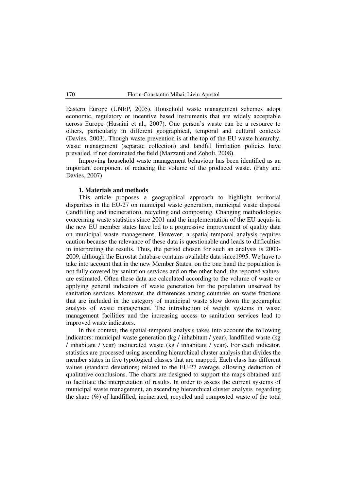Eastern Europe (UNEP, 2005). Household waste management schemes adopt economic, regulatory or incentive based instruments that are widely acceptable across Europe (Husaini et al., 2007). One person's waste can be a resource to others, particularly in different geographical, temporal and cultural contexts (Davies, 2003). Though waste prevention is at the top of the EU waste hierarchy, waste management (separate collection) and landfill limitation policies have prevailed, if not dominated the field (Mazzanti and Zoboli, 2008).

Improving household waste management behaviour has been identified as an important component of reducing the volume of the produced waste. (Fahy and Davies, 2007)

## **1. Materials and methods**

This article proposes a geographical approach to highlight territorial disparities in the EU-27 on municipal waste generation, municipal waste disposal (landfilling and incineration), recycling and composting. Changing methodologies concerning waste statistics since 2001 and the implementation of the EU acquis in the new EU member states have led to a progressive improvement of quality data on municipal waste management. However, a spatial-temporal analysis requires caution because the relevance of these data is questionable and leads to difficulties in interpreting the results. Thus, the period chosen for such an analysis is 2003- 2009, although the Eurostat database contains available data since1995. We have to take into account that in the new Member States, on the one hand the population is not fully covered by sanitation services and on the other hand, the reported values are estimated. Often these data are calculated according to the volume of waste or applying general indicators of waste generation for the population unserved by sanitation services. Moreover, the differences among countries on waste fractions that are included in the category of municipal waste slow down the geographic analysis of waste management. The introduction of weight systems in waste management facilities and the increasing access to sanitation services lead to improved waste indicators.

In this context, the spatial-temporal analysis takes into account the following indicators: municipal waste generation (kg / inhabitant / year), landfilled waste (kg / inhabitant / year) incinerated waste (kg / inhabitant / year). For each indicator, statistics are processed using ascending hierarchical cluster analysis that divides the member states in five typological classes that are mapped. Each class has different values (standard deviations) related to the EU-27 average, allowing deduction of qualitative conclusions. The charts are designed to support the maps obtained and to facilitate the interpretation of results. In order to assess the current systems of municipal waste management, an ascending hierarchical cluster analysis regarding the share (%) of landfilled, incinerated, recycled and composted waste of the total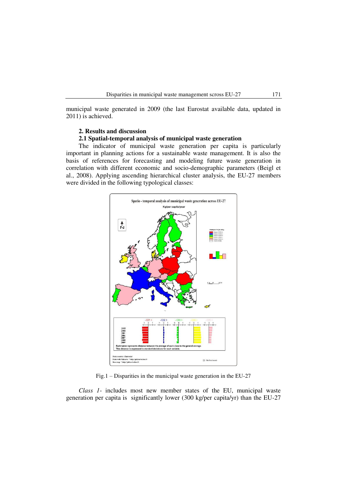municipal waste generated in 2009 (the last Eurostat available data, updated in 2011) is achieved.

## **2. Results and discussion**

## **2.1 Spatial-temporal analysis of municipal waste generation**

The indicator of municipal waste generation per capita is particularly important in planning actions for a sustainable waste management. It is also the basis of references for forecasting and modeling future waste generation in correlation with different economic and socio-demographic parameters (Beigl et al., 2008). Applying ascending hierarchical cluster analysis, the EU-27 members were divided in the following typological classes:



Fig.1 – Disparities in the municipal waste generation in the EU-27

*Class 1*- includes most new member states of the EU, municipal waste generation per capita is significantly lower (300 kg/per capita/yr) than the EU-27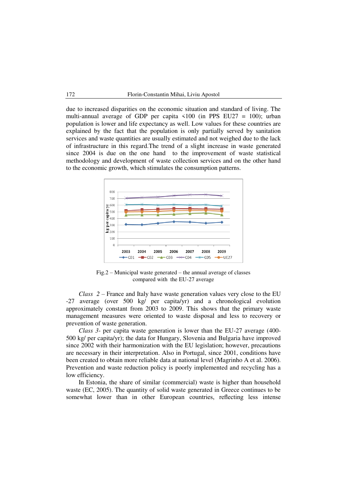due to increased disparities on the economic situation and standard of living. The multi-annual average of GDP per capita  $\triangle 100$  (in PPS EU27 = 100); urban population is lower and life expectancy as well. Low values for these countries are explained by the fact that the population is only partially served by sanitation services and waste quantities are usually estimated and not weighed due to the lack of infrastructure in this regard.The trend of a slight increase in waste generated since 2004 is due on the one hand to the improvement of waste statistical methodology and development of waste collection services and on the other hand to the economic growth, which stimulates the consumption patterns.



Fig.2 – Municipal waste generated – the annual average of classes compared with the EU-27 average

*Class 2* – France and Italy have waste generation values very close to the EU -27 average (over 500 kg/ per capita/yr) and a chronological evolution approximately constant from 2003 to 2009. This shows that the primary waste management measures were oriented to waste disposal and less to recovery or prevention of waste generation.

*Class 3*- per capita waste generation is lower than the EU-27 average (400- 500 kg/ per capita/yr); the data for Hungary, Slovenia and Bulgaria have improved since 2002 with their harmonization with the EU legislation; however, precautions are necessary in their interpretation. Also in Portugal, since 2001, conditions have been created to obtain more reliable data at national level (Magrinho A et al. 2006). Prevention and waste reduction policy is poorly implemented and recycling has a low efficiency.

In Estonia, the share of similar (commercial) waste is higher than household waste (EC, 2005). The quantity of solid waste generated in Greece continues to be somewhat lower than in other European countries, reflecting less intense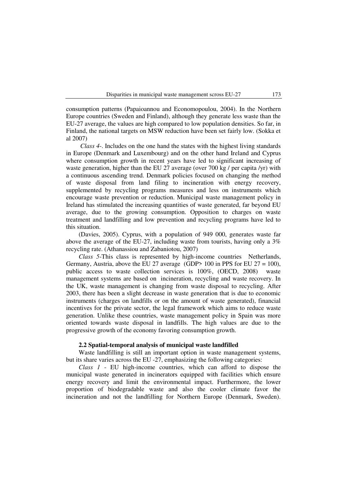consumption patterns (Papaioannou and Economopoulou, 2004). In the Northern Europe countries (Sweden and Finland), although they generate less waste than the EU-27 average, the values are high compared to low population densities. So far, in Finland, the national targets on MSW reduction have been set fairly low. (Sokka et al 2007)

 *Class 4*-. Includes on the one hand the states with the highest living standards in Europe (Denmark and Luxembourg) and on the other hand Ireland and Cyprus where consumption growth in recent years have led to significant increasing of waste generation, higher than the EU 27 average (over 700 kg / per capita /yr) with a continuous ascending trend. Denmark policies focused on changing the method of waste disposal from land filing to incineration with energy recovery, supplemented by recycling programs measures and less on instruments which encourage waste prevention or reduction. Municipal waste management policy in Ireland has stimulated the increasing quantities of waste generated, far beyond EU average, due to the growing consumption. Opposition to charges on waste treatment and landfilling and low prevention and recycling programs have led to this situation.

(Davies, 2005). Cyprus, with a population of 949 000, generates waste far above the average of the EU-27, including waste from tourists, having only a 3% recycling rate. (Athanassiou and Zabaniotou, 2007)

*Class 5*-This class is represented by high-income countries Netherlands, Germany, Austria, above the EU 27 average (GDP> 100 in PPS for EU 27 = 100), public access to waste collection services is 100%, (OECD, 2008) waste management systems are based on incineration, recycling and waste recovery. In the UK, waste management is changing from waste disposal to recycling. After 2003, there has been a slight decrease in waste generation that is due to economic instruments (charges on landfills or on the amount of waste generated), financial incentives for the private sector, the legal framework which aims to reduce waste generation. Unlike these countries, waste management policy in Spain was more oriented towards waste disposal in landfills. The high values are due to the progressive growth of the economy favoring consumption growth.

#### **2.2 Spatial-temporal analysis of municipal waste landfilled**

Waste landfilling is still an important option in waste management systems, but its share varies across the EU -27, emphasizing the following categories:

*Class 1* - EU high-income countries, which can afford to dispose the municipal waste generated in incinerators equipped with facilities which ensure energy recovery and limit the environmental impact. Furthermore, the lower proportion of biodegradable waste and also the cooler climate favor the incineration and not the landfilling for Northern Europe (Denmark, Sweden).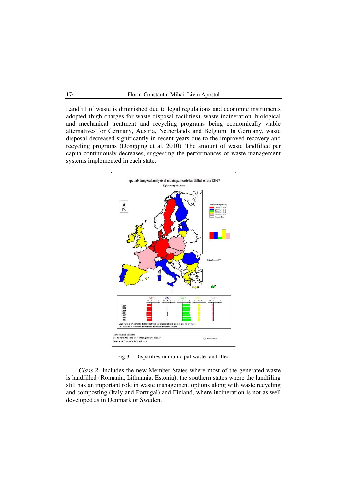Landfill of waste is diminished due to legal regulations and economic instruments adopted (high charges for waste disposal facilities), waste incineration, biological and mechanical treatment and recycling programs being economically viable alternatives for Germany, Austria, Netherlands and Belgium. In Germany, waste disposal decreased significantly in recent years due to the improved recovery and recycling programs (Dongqing et al, 2010). The amount of waste landfilled per capita continuously decreases, suggesting the performances of waste management systems implemented in each state.



Fig.3 – Disparities in municipal waste landfilled

*Class 2*- Includes the new Member States where most of the generated waste is landfilled (Romania, Lithuania, Estonia), the southern states where the landfiling still has an important role in waste management options along with waste recycling and composting (Italy and Portugal) and Finland, where incineration is not as well developed as in Denmark or Sweden.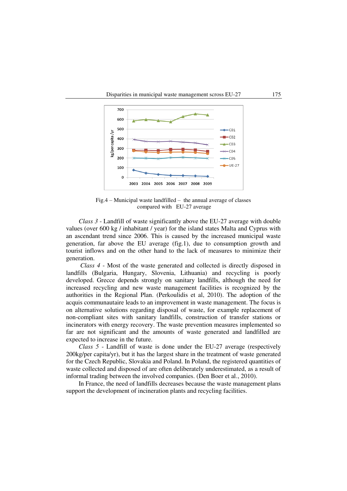![](_page_7_Figure_1.jpeg)

Fig.4 – Municipal waste landfilled – the annual average of classes compared with EU-27 average

*Class 3* - Landfill of waste significantly above the EU-27 average with double values (over 600 kg / inhabitant / year) for the island states Malta and Cyprus with an ascendant trend since 2006. This is caused by the increased municipal waste generation, far above the EU average (fig.1), due to consumption growth and tourist inflows and on the other hand to the lack of measures to minimize their generation.

*Class 4* - Most of the waste generated and collected is directly disposed in landfills (Bulgaria, Hungary, Slovenia, Lithuania) and recycling is poorly developed. Grecce depends strongly on sanitary landfills, although the need for increased recycling and new waste management facilities is recognized by the authorities in the Regional Plan. (Perkoulidis et al, 2010). The adoption of the acquis communautaire leads to an improvement in waste management. The focus is on alternative solutions regarding disposal of waste, for example replacement of non-compliant sites with sanitary landfills, construction of transfer stations or incinerators with energy recovery. The waste prevention measures implemented so far are not significant and the amounts of waste generated and landfilled are expected to increase in the future.

*Class 5* - Landfill of waste is done under the EU-27 average (respectively 200kg/per capita/yr), but it has the largest share in the treatment of waste generated for the Czech Republic, Slovakia and Poland. In Poland, the registered quantities of waste collected and disposed of are often deliberately underestimated, as a result of informal trading between the involved companies. (Den Boer et al., 2010).

In France, the need of landfills decreases because the waste management plans support the development of incineration plants and recycling facilities.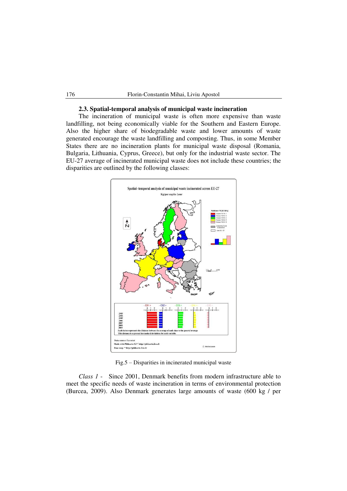### **2.3. Spatial-temporal analysis of municipal waste incineration**

The incineration of municipal waste is often more expensive than waste landfilling, not being economically viable for the Southern and Eastern Europe. Also the higher share of biodegradable waste and lower amounts of waste generated encourage the waste landfilling and composting. Thus, in some Member States there are no incineration plants for municipal waste disposal (Romania, Bulgaria, Lithuania, Cyprus, Greece), but only for the industrial waste sector. The EU-27 average of incinerated municipal waste does not include these countries; the disparities are outlined by the following classes:

![](_page_8_Figure_3.jpeg)

Fig.5 – Disparities in incinerated municipal waste

*Class 1* - Since 2001, Denmark benefits from modern infrastructure able to meet the specific needs of waste incineration in terms of environmental protection (Burcea, 2009). Also Denmark generates large amounts of waste (600 kg / per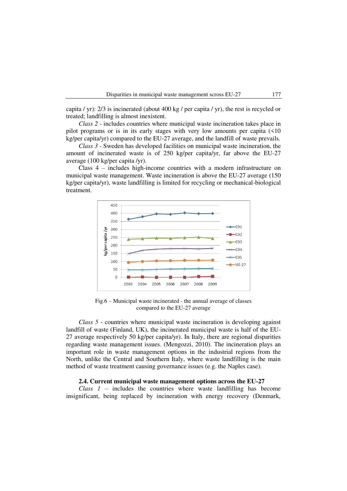capita / yr): 2/3 is incinerated (about 400 kg / per capita / yr), the rest is recycled or treated; landfilling is almost inexistent.

*Class 2* - includes countries where municipal waste incineration takes place in pilot programs or is in its early stages with very low amounts per capita (<10 kg/per capita/yr) compared to the EU-27 average, and the landfill of waste prevails.

*Class 3* - Sweden has developed facilities on municipal waste incineration, the amount of incinerated waste is of 250 kg/per capita/yr, far above the EU-27 average (100 kg/per capita /yr).

Class 4 – includes high-income countries with a modern infrastructure on municipal waste management. Waste incineration is above the EU-27 average (150 kg/per capita/yr), waste landfilling is limited for recycling or mechanical-biological treatment.

![](_page_9_Figure_5.jpeg)

Fig.6 – Municipal waste incinerated - the annual average of classes compared to the EU-27 average

*Class 5* - countries where municipal waste incineration is developing against landfill of waste (Finland, UK), the incinerated municipal waste is half of the EU-27 average respectively 50 kg/per capita/yr). In Italy, there are regional disparities regarding waste management issues. (Mengozzi, 2010). The incineration plays an important role in waste management options in the industrial regions from the North, unlike the Central and Southern Italy, where waste landfilling is the main method of waste treatment causing governance issues (e.g. the Naples case).

## **2.4. Current municipal waste management options across the EU-27**

*Class 1* – includes the countries where waste landfilling has become insignificant, being replaced by incineration with energy recovery (Denmark,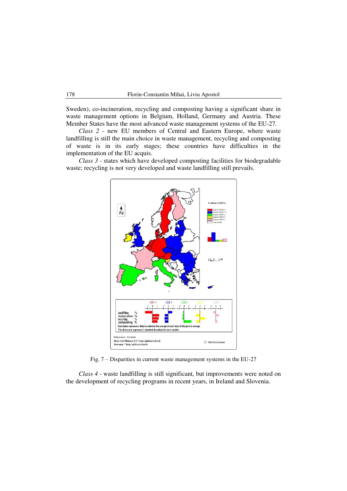Sweden), co-incineration, recycling and composting having a significant share in waste management options in Belgium, Holland, Germany and Austria. These Member States have the most advanced waste management systems of the EU-27.

*Class 2* - new EU members of Central and Eastern Europe, where waste landfilling is still the main choice in waste management, recycling and composting of waste is in its early stages; these countries have difficulties in the implementation of the EU acquis.

*Class 3* - states which have developed composting facilities for biodegradable waste; recycling is not very developed and waste landfilling still prevails.

![](_page_10_Figure_4.jpeg)

Fig. 7 – Disparities in current waste management systems in the EU-27

*Class 4* - waste landfilling is still significant, but improvements were noted on the development of recycling programs in recent years, in Ireland and Slovenia.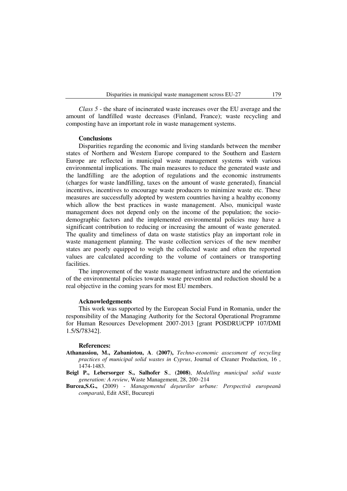*Class 5* - the share of incinerated waste increases over the EU average and the amount of landfilled waste decreases (Finland, France); waste recycling and composting have an important role in waste management systems.

#### **Conclusions**

Disparities regarding the economic and living standards between the member states of Northern and Western Europe compared to the Southern and Eastern Europe are reflected in municipal waste management systems with various environmental implications. The main measures to reduce the generated waste and the landfilling are the adoption of regulations and the economic instruments (charges for waste landfilling, taxes on the amount of waste generated), financial incentives, incentives to encourage waste producers to minimize waste etc. These measures are successfully adopted by western countries having a healthy economy which allow the best practices in waste management. Also, municipal waste management does not depend only on the income of the population; the sociodemographic factors and the implemented environmental policies may have a significant contribution to reducing or increasing the amount of waste generated. The quality and timeliness of data on waste statistics play an important role in waste management planning. The waste collection services of the new member states are poorly equipped to weigh the collected waste and often the reported values are calculated according to the volume of containers or transporting facilities.

The improvement of the waste management infrastructure and the orientation of the environmental policies towards waste prevention and reduction should be a real objective in the coming years for most EU members.

## **Acknowledgements**

This work was supported by the European Social Fund in Romania, under the responsibility of the Managing Authority for the Sectoral Operational Programme for Human Resources Development 2007-2013 [grant POSDRU/CPP 107/DMI 1.5/S/78342].

#### **References:**

- **Athanassiou, M., Zabaniotou, A**. **(2007),** *Techno-economic assessment of recycling practices of municipal solid wastes in Cyprus*, Journal of Cleaner Production, 16 , 1474-1483.
- **Beigl P., Lebersorger S., Salhofer S**., **(2008)**, *Modelling municipal solid waste generation: A review*, Waste Management, 28, 200–214
- **Burcea,S.G., (**2009) *Managementul deşeurilor urbane: Perspectivă europeană comparată*, Edit ASE, Bucureşti